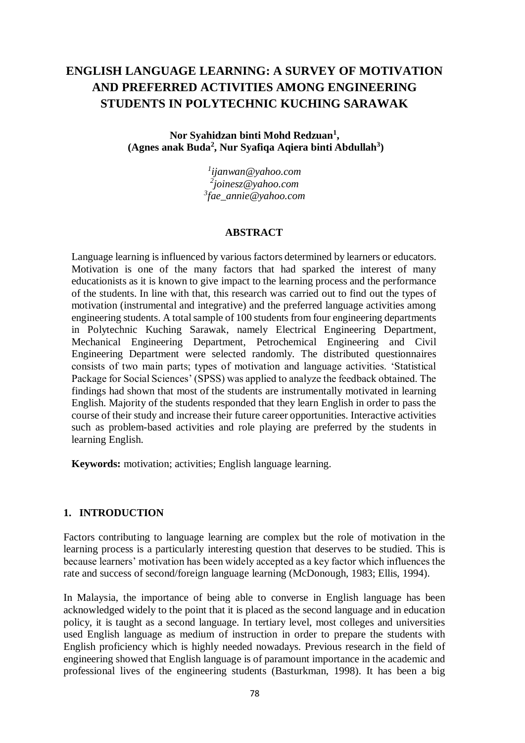# **ENGLISH LANGUAGE LEARNING: A SURVEY OF MOTIVATION AND PREFERRED ACTIVITIES AMONG ENGINEERING STUDENTS IN POLYTECHNIC KUCHING SARAWAK**

**Nor Syahidzan binti Mohd Redzuan<sup>1</sup> , (Agnes anak Buda<sup>2</sup> , Nur Syafiqa Aqiera binti Abdullah<sup>3</sup> )**

> *1 ijanwan@yahoo.com 2 joinesz@yahoo.com 3 fae\_annie@yahoo.com*

#### **ABSTRACT**

Language learning is influenced by various factors determined by learners or educators. Motivation is one of the many factors that had sparked the interest of many educationists as it is known to give impact to the learning process and the performance of the students. In line with that, this research was carried out to find out the types of motivation (instrumental and integrative) and the preferred language activities among engineering students. A total sample of 100 students from four engineering departments in Polytechnic Kuching Sarawak, namely Electrical Engineering Department, Mechanical Engineering Department, Petrochemical Engineering and Civil Engineering Department were selected randomly. The distributed questionnaires consists of two main parts; types of motivation and language activities. 'Statistical Package for Social Sciences' (SPSS) was applied to analyze the feedback obtained. The findings had shown that most of the students are instrumentally motivated in learning English. Majority of the students responded that they learn English in order to pass the course of their study and increase their future career opportunities. Interactive activities such as problem-based activities and role playing are preferred by the students in learning English.

**Keywords:** motivation; activities; English language learning.

#### **1. INTRODUCTION**

Factors contributing to language learning are complex but the role of motivation in the learning process is a particularly interesting question that deserves to be studied. This is because learners' motivation has been widely accepted as a key factor which influences the rate and success of second/foreign language learning (McDonough, 1983; Ellis, 1994).

In Malaysia, the importance of being able to converse in English language has been acknowledged widely to the point that it is placed as the second language and in education policy, it is taught as a second language. In tertiary level, most colleges and universities used English language as medium of instruction in order to prepare the students with English proficiency which is highly needed nowadays. Previous research in the field of engineering showed that English language is of paramount importance in the academic and professional lives of the engineering students (Basturkman, 1998). It has been a big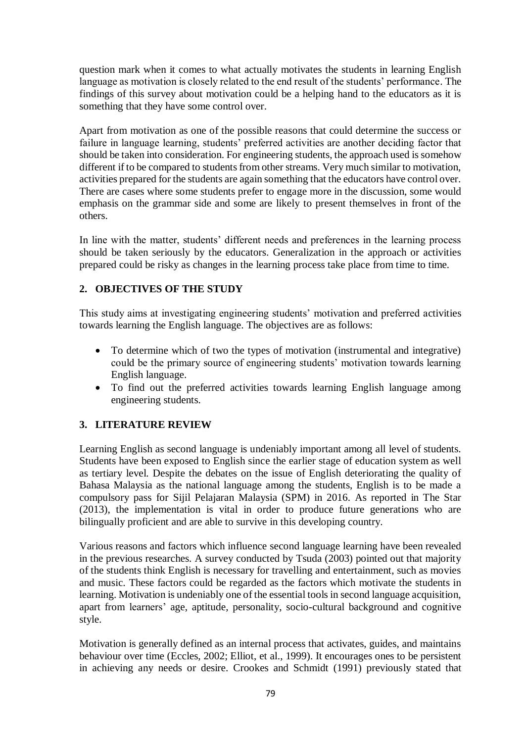question mark when it comes to what actually motivates the students in learning English language as motivation is closely related to the end result of the students' performance. The findings of this survey about motivation could be a helping hand to the educators as it is something that they have some control over.

Apart from motivation as one of the possible reasons that could determine the success or failure in language learning, students' preferred activities are another deciding factor that should be taken into consideration. For engineering students, the approach used is somehow different if to be compared to students from other streams. Very much similar to motivation, activities prepared for the students are again something that the educators have control over. There are cases where some students prefer to engage more in the discussion, some would emphasis on the grammar side and some are likely to present themselves in front of the others.

In line with the matter, students' different needs and preferences in the learning process should be taken seriously by the educators. Generalization in the approach or activities prepared could be risky as changes in the learning process take place from time to time.

# **2. OBJECTIVES OF THE STUDY**

This study aims at investigating engineering students' motivation and preferred activities towards learning the English language. The objectives are as follows:

- To determine which of two the types of motivation (instrumental and integrative) could be the primary source of engineering students' motivation towards learning English language.
- To find out the preferred activities towards learning English language among engineering students.

### **3. LITERATURE REVIEW**

Learning English as second language is undeniably important among all level of students. Students have been exposed to English since the earlier stage of education system as well as tertiary level. Despite the debates on the issue of English deteriorating the quality of Bahasa Malaysia as the national language among the students, English is to be made a compulsory pass for Sijil Pelajaran Malaysia (SPM) in 2016. As reported in The Star (2013), the implementation is vital in order to produce future generations who are bilingually proficient and are able to survive in this developing country.

Various reasons and factors which influence second language learning have been revealed in the previous researches. A survey conducted by Tsuda (2003) pointed out that majority of the students think English is necessary for travelling and entertainment, such as movies and music. These factors could be regarded as the factors which motivate the students in learning. Motivation is undeniably one of the essential tools in second language acquisition, apart from learners' age, aptitude, personality, socio-cultural background and cognitive style.

Motivation is generally defined as an internal process that activates, guides, and maintains behaviour over time (Eccles, 2002; Elliot, et al., 1999). It encourages ones to be persistent in achieving any needs or desire. Crookes and Schmidt (1991) previously stated that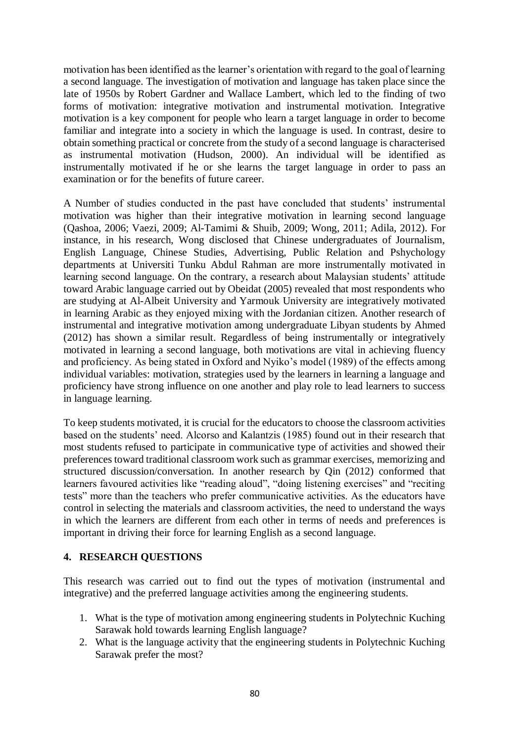motivation has been identified as the learner's orientation with regard to the goal of learning a second language. The investigation of motivation and language has taken place since the late of 1950s by Robert Gardner and Wallace Lambert, which led to the finding of two forms of motivation: integrative motivation and instrumental motivation. Integrative motivation is a key component for people who learn a target language in order to become familiar and integrate into a society in which the language is used. In contrast, desire to obtain something practical or concrete from the study of a second language is characterised as instrumental motivation (Hudson, 2000). An individual will be identified as instrumentally motivated if he or she learns the target language in order to pass an examination or for the benefits of future career.

A Number of studies conducted in the past have concluded that students' instrumental motivation was higher than their integrative motivation in learning second language (Qashoa, 2006; Vaezi, 2009; Al-Tamimi & Shuib, 2009; Wong, 2011; Adila, 2012). For instance, in his research, Wong disclosed that Chinese undergraduates of Journalism, English Language, Chinese Studies, Advertising, Public Relation and Pshychology departments at Universiti Tunku Abdul Rahman are more instrumentally motivated in learning second language. On the contrary, a research about Malaysian students' attitude toward Arabic language carried out by Obeidat (2005) revealed that most respondents who are studying at Al-Albeit University and Yarmouk University are integratively motivated in learning Arabic as they enjoyed mixing with the Jordanian citizen. Another research of instrumental and integrative motivation among undergraduate Libyan students by Ahmed (2012) has shown a similar result. Regardless of being instrumentally or integratively motivated in learning a second language, both motivations are vital in achieving fluency and proficiency. As being stated in Oxford and Nyiko's model (1989) of the effects among individual variables: motivation, strategies used by the learners in learning a language and proficiency have strong influence on one another and play role to lead learners to success in language learning.

To keep students motivated, it is crucial for the educators to choose the classroom activities based on the students' need. Alcorso and Kalantzis (1985) found out in their research that most students refused to participate in communicative type of activities and showed their preferences toward traditional classroom work such as grammar exercises, memorizing and structured discussion/conversation. In another research by Qin (2012) conformed that learners favoured activities like "reading aloud", "doing listening exercises" and "reciting tests" more than the teachers who prefer communicative activities. As the educators have control in selecting the materials and classroom activities, the need to understand the ways in which the learners are different from each other in terms of needs and preferences is important in driving their force for learning English as a second language.

#### **4. RESEARCH QUESTIONS**

This research was carried out to find out the types of motivation (instrumental and integrative) and the preferred language activities among the engineering students.

- 1. What is the type of motivation among engineering students in Polytechnic Kuching Sarawak hold towards learning English language?
- 2. What is the language activity that the engineering students in Polytechnic Kuching Sarawak prefer the most?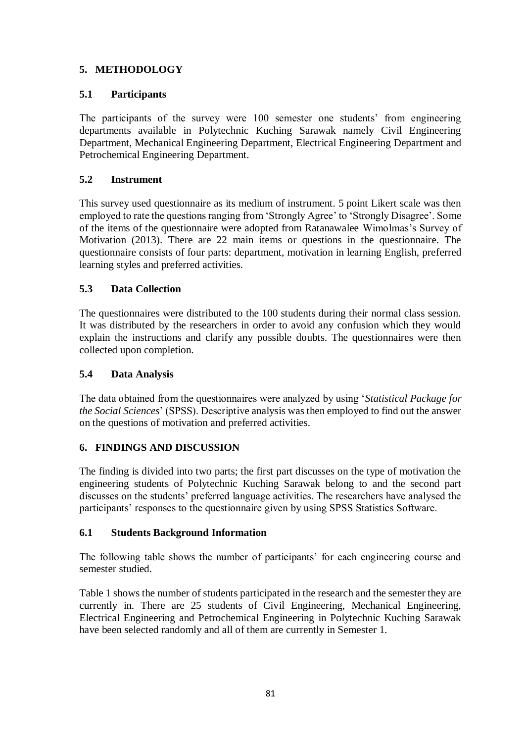## **5. METHODOLOGY**

### **5.1 Participants**

The participants of the survey were 100 semester one students' from engineering departments available in Polytechnic Kuching Sarawak namely Civil Engineering Department, Mechanical Engineering Department, Electrical Engineering Department and Petrochemical Engineering Department.

## **5.2 Instrument**

This survey used questionnaire as its medium of instrument. 5 point Likert scale was then employed to rate the questions ranging from 'Strongly Agree' to 'Strongly Disagree'. Some of the items of the questionnaire were adopted from Ratanawalee Wimolmas's Survey of Motivation (2013). There are 22 main items or questions in the questionnaire. The questionnaire consists of four parts: department, motivation in learning English, preferred learning styles and preferred activities.

### **5.3 Data Collection**

The questionnaires were distributed to the 100 students during their normal class session. It was distributed by the researchers in order to avoid any confusion which they would explain the instructions and clarify any possible doubts. The questionnaires were then collected upon completion.

### **5.4 Data Analysis**

The data obtained from the questionnaires were analyzed by using '*Statistical Package for the Social Sciences*' (SPSS). Descriptive analysis was then employed to find out the answer on the questions of motivation and preferred activities.

# **6. FINDINGS AND DISCUSSION**

The finding is divided into two parts; the first part discusses on the type of motivation the engineering students of Polytechnic Kuching Sarawak belong to and the second part discusses on the students' preferred language activities. The researchers have analysed the participants' responses to the questionnaire given by using SPSS Statistics Software.

### **6.1 Students Background Information**

The following table shows the number of participants' for each engineering course and semester studied.

Table 1 shows the number of students participated in the research and the semester they are currently in. There are 25 students of Civil Engineering, Mechanical Engineering, Electrical Engineering and Petrochemical Engineering in Polytechnic Kuching Sarawak have been selected randomly and all of them are currently in Semester 1.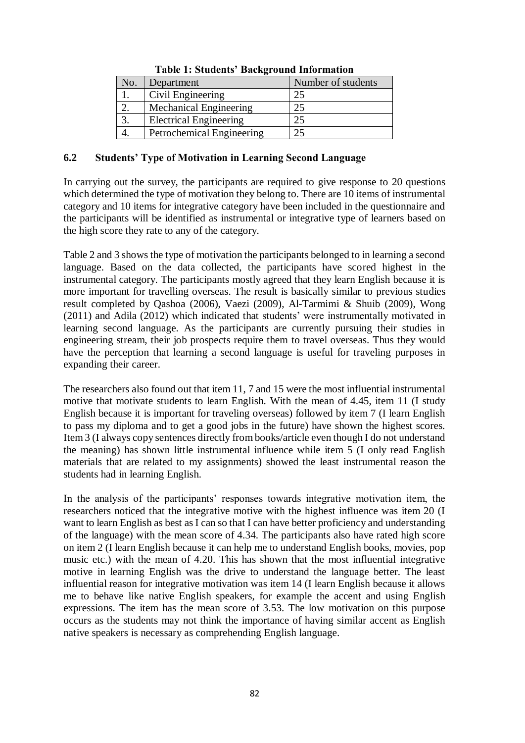| No. | Department                    | Number of students |
|-----|-------------------------------|--------------------|
|     | Civil Engineering             | 25                 |
|     | Mechanical Engineering        |                    |
|     | <b>Electrical Engineering</b> |                    |
|     | Petrochemical Engineering     |                    |

#### **Table 1: Students' Background Information**

#### **6.2 Students' Type of Motivation in Learning Second Language**

In carrying out the survey, the participants are required to give response to 20 questions which determined the type of motivation they belong to. There are 10 items of instrumental category and 10 items for integrative category have been included in the questionnaire and the participants will be identified as instrumental or integrative type of learners based on the high score they rate to any of the category.

Table 2 and 3 shows the type of motivation the participants belonged to in learning a second language. Based on the data collected, the participants have scored highest in the instrumental category. The participants mostly agreed that they learn English because it is more important for travelling overseas. The result is basically similar to previous studies result completed by Qashoa (2006), Vaezi (2009), Al-Tarmimi & Shuib (2009), Wong (2011) and Adila (2012) which indicated that students' were instrumentally motivated in learning second language. As the participants are currently pursuing their studies in engineering stream, their job prospects require them to travel overseas. Thus they would have the perception that learning a second language is useful for traveling purposes in expanding their career.

The researchers also found out that item 11, 7 and 15 were the most influential instrumental motive that motivate students to learn English. With the mean of 4.45, item 11 (I study English because it is important for traveling overseas) followed by item 7 (I learn English to pass my diploma and to get a good jobs in the future) have shown the highest scores. Item 3 (I always copy sentences directly from books/article even though I do not understand the meaning) has shown little instrumental influence while item 5 (I only read English materials that are related to my assignments) showed the least instrumental reason the students had in learning English.

In the analysis of the participants' responses towards integrative motivation item, the researchers noticed that the integrative motive with the highest influence was item 20 (I want to learn English as best as I can so that I can have better proficiency and understanding of the language) with the mean score of 4.34. The participants also have rated high score on item 2 (I learn English because it can help me to understand English books, movies, pop music etc.) with the mean of 4.20. This has shown that the most influential integrative motive in learning English was the drive to understand the language better. The least influential reason for integrative motivation was item 14 (I learn English because it allows me to behave like native English speakers, for example the accent and using English expressions. The item has the mean score of 3.53. The low motivation on this purpose occurs as the students may not think the importance of having similar accent as English native speakers is necessary as comprehending English language.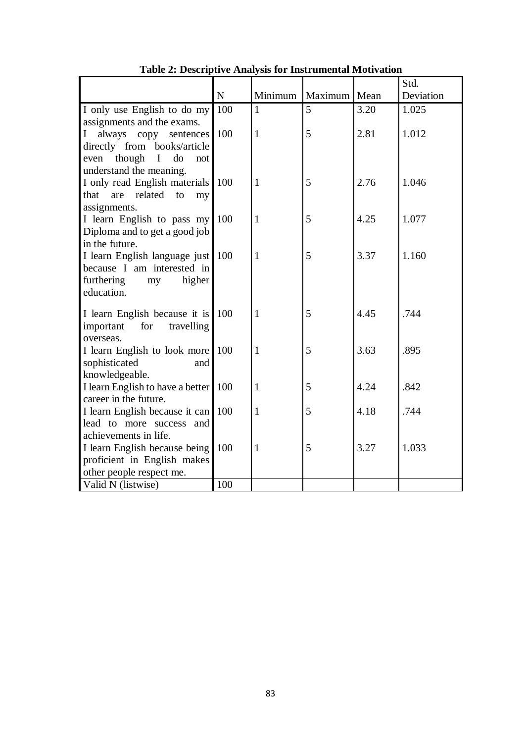|                                                             |           |              |                |      | Std.      |
|-------------------------------------------------------------|-----------|--------------|----------------|------|-----------|
|                                                             | ${\bf N}$ | Minimum      | Maximum   Mean |      | Deviation |
| I only use English to do my                                 | 100       | $\mathbf{1}$ | 5              | 3.20 | 1.025     |
| assignments and the exams.                                  |           |              |                |      |           |
| always copy<br>I<br>sentences                               | 100       | $\mathbf{1}$ | 5              | 2.81 | 1.012     |
| directly from books/article                                 |           |              |                |      |           |
| though<br>$\mathbf I$<br>do<br>even<br>not                  |           |              |                |      |           |
| understand the meaning.                                     |           |              |                |      |           |
| I only read English materials                               | 100       | $\mathbf{1}$ | 5              | 2.76 | 1.046     |
| related<br>to<br>that<br>are<br>my                          |           |              |                |      |           |
| assignments.                                                | 100       | $\mathbf{1}$ | 5              | 4.25 | 1.077     |
| I learn English to pass my<br>Diploma and to get a good job |           |              |                |      |           |
| in the future.                                              |           |              |                |      |           |
| I learn English language just                               | 100       | $\mathbf{1}$ | 5              | 3.37 | 1.160     |
| because I am interested in                                  |           |              |                |      |           |
| furthering<br>higher<br>my                                  |           |              |                |      |           |
| education.                                                  |           |              |                |      |           |
|                                                             |           |              |                |      |           |
| I learn English because it is                               | 100       | $\mathbf{1}$ | 5              | 4.45 | .744      |
| important<br>for<br>travelling                              |           |              |                |      |           |
| overseas.<br>I learn English to look more                   | 100       | $\mathbf{1}$ | 5              | 3.63 | .895      |
| sophisticated<br>and                                        |           |              |                |      |           |
| knowledgeable.                                              |           |              |                |      |           |
| I learn English to have a better                            | 100       | $\mathbf{1}$ | 5              | 4.24 | .842      |
| career in the future.                                       |           |              |                |      |           |
| I learn English because it can                              | 100       | $\mathbf{1}$ | 5              | 4.18 | .744      |
| lead to more success and                                    |           |              |                |      |           |
| achievements in life.                                       |           |              |                |      |           |
| I learn English because being                               | 100       | $\mathbf{1}$ | 5              | 3.27 | 1.033     |
| proficient in English makes                                 |           |              |                |      |           |
| other people respect me.                                    |           |              |                |      |           |
| Valid N (listwise)                                          | 100       |              |                |      |           |

**Table 2: Descriptive Analysis for Instrumental Motivation**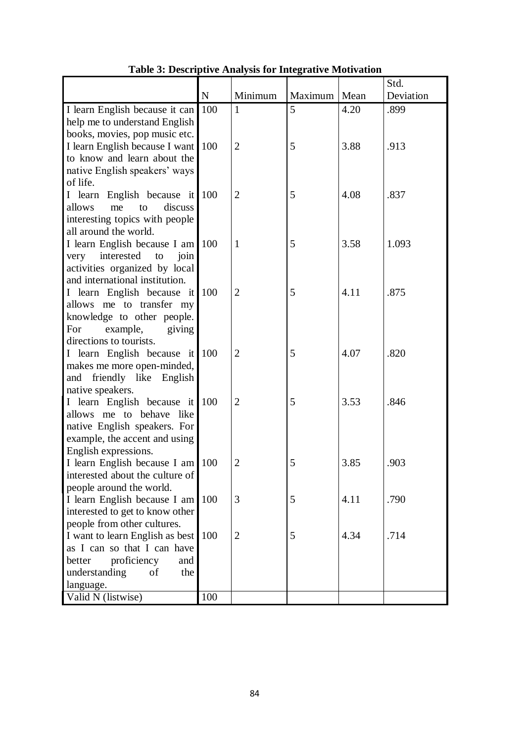|                                                          |             |                |         |      | Std.      |
|----------------------------------------------------------|-------------|----------------|---------|------|-----------|
|                                                          | $\mathbf N$ | Minimum        | Maximum | Mean | Deviation |
| I learn English because it can                           | 100         | $\mathbf{1}$   | 5       | 4.20 | .899      |
| help me to understand English                            |             |                |         |      |           |
| books, movies, pop music etc.                            |             |                |         |      |           |
| I learn English because I want                           | 100         | $\overline{2}$ | 5       | 3.88 | .913      |
| to know and learn about the                              |             |                |         |      |           |
| native English speakers' ways                            |             |                |         |      |           |
| of life.                                                 |             |                |         |      |           |
| I learn English because it 100                           |             | $\overline{2}$ | 5       | 4.08 | .837      |
| allows<br>discuss<br>me<br>to                            |             |                |         |      |           |
| interesting topics with people                           |             |                |         |      |           |
| all around the world.                                    |             | $\mathbf{1}$   |         |      |           |
| I learn English because I am 100<br>$\mathbf{to}$        |             |                | 5       | 3.58 | 1.093     |
| very interested<br>join<br>activities organized by local |             |                |         |      |           |
| and international institution.                           |             |                |         |      |           |
| I learn English because it                               | 100         | $\overline{2}$ | 5       | 4.11 | .875      |
| allows me to transfer my                                 |             |                |         |      |           |
| knowledge to other people.                               |             |                |         |      |           |
| For<br>example,<br>giving                                |             |                |         |      |           |
| directions to tourists.                                  |             |                |         |      |           |
| I learn English because it 100                           |             | $\overline{2}$ | 5       | 4.07 | .820      |
| makes me more open-minded,                               |             |                |         |      |           |
| and friendly like English                                |             |                |         |      |           |
| native speakers.                                         |             |                |         |      |           |
| I learn English because it 100                           |             | $\overline{2}$ | 5       | 3.53 | .846      |
| allows me to behave like                                 |             |                |         |      |           |
| native English speakers. For                             |             |                |         |      |           |
| example, the accent and using                            |             |                |         |      |           |
| English expressions.                                     |             |                |         |      |           |
| I learn English because I am 100                         |             | $\overline{2}$ | 5       | 3.85 | .903      |
| interested about the culture of                          |             |                |         |      |           |
| people around the world.<br>I learn English because I am | 100         | 3              | 5       | 4.11 | .790      |
| interested to get to know other                          |             |                |         |      |           |
| people from other cultures.                              |             |                |         |      |           |
| I want to learn English as best                          | 100         | $\overline{2}$ | 5       | 4.34 | .714      |
| as I can so that I can have                              |             |                |         |      |           |
| proficiency<br>better<br>and                             |             |                |         |      |           |
| understanding<br>of<br>the                               |             |                |         |      |           |
| language.                                                |             |                |         |      |           |
| Valid N (listwise)                                       | 100         |                |         |      |           |

# **Table 3: Descriptive Analysis for Integrative Motivation**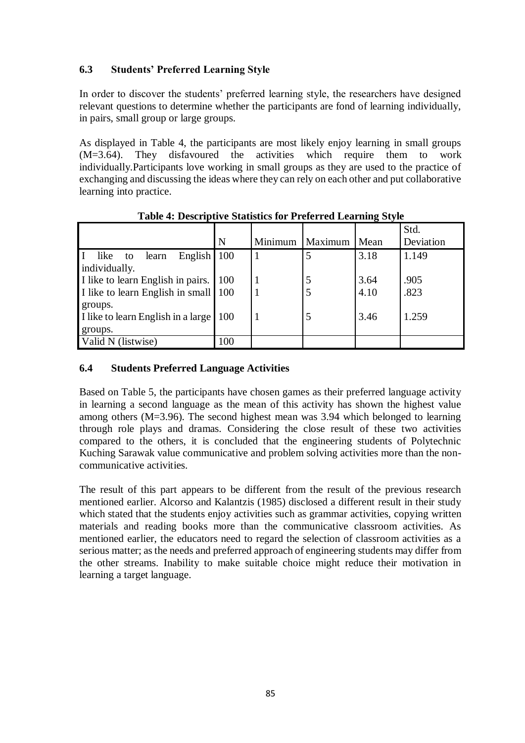# **6.3 Students' Preferred Learning Style**

In order to discover the students' preferred learning style, the researchers have designed relevant questions to determine whether the participants are fond of learning individually, in pairs, small group or large groups.

As displayed in Table 4, the participants are most likely enjoy learning in small groups (M=3.64). They disfavoured the activities which require them to work individually.Participants love working in small groups as they are used to the practice of exchanging and discussing the ideas where they can rely on each other and put collaborative learning into practice.

|                                      |            |         |         |      | Std.      |
|--------------------------------------|------------|---------|---------|------|-----------|
|                                      | N          | Minimum | Maximum | Mean | Deviation |
| English $100$<br>like<br>learn<br>to |            |         | 5       | 3.18 | 1.149     |
| individually.                        |            |         |         |      |           |
| I like to learn English in pairs.    | <b>100</b> |         | 5       | 3.64 | .905      |
| I like to learn English in small 100 |            |         | 5       | 4.10 | .823      |
| groups.                              |            |         |         |      |           |
| I like to learn English in a large   | 100        |         | .5      | 3.46 | 1.259     |
| groups.                              |            |         |         |      |           |
| Valid N (listwise)                   | 100        |         |         |      |           |

**Table 4: Descriptive Statistics for Preferred Learning Style**

# **6.4 Students Preferred Language Activities**

Based on Table 5, the participants have chosen games as their preferred language activity in learning a second language as the mean of this activity has shown the highest value among others (M=3.96). The second highest mean was 3.94 which belonged to learning through role plays and dramas. Considering the close result of these two activities compared to the others, it is concluded that the engineering students of Polytechnic Kuching Sarawak value communicative and problem solving activities more than the noncommunicative activities.

The result of this part appears to be different from the result of the previous research mentioned earlier. Alcorso and Kalantzis (1985) disclosed a different result in their study which stated that the students enjoy activities such as grammar activities, copying written materials and reading books more than the communicative classroom activities. As mentioned earlier, the educators need to regard the selection of classroom activities as a serious matter; as the needs and preferred approach of engineering students may differ from the other streams. Inability to make suitable choice might reduce their motivation in learning a target language.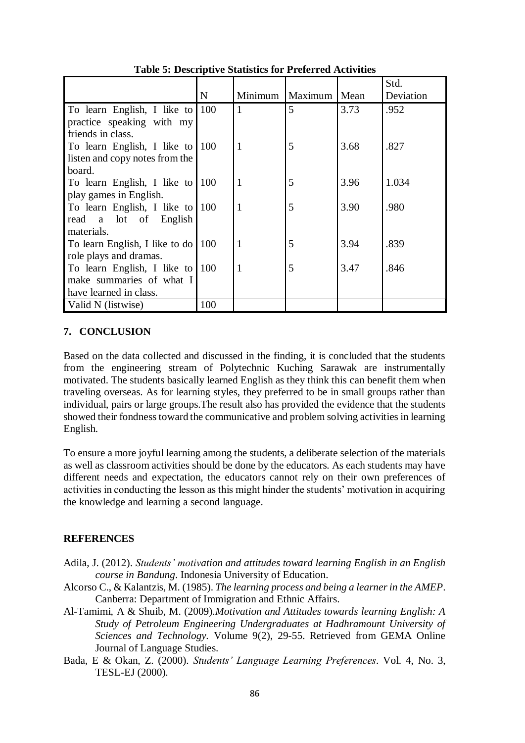|                                    |             |   |                          |      | Std.      |
|------------------------------------|-------------|---|--------------------------|------|-----------|
|                                    | $\mathbf N$ |   | Minimum   Maximum   Mean |      | Deviation |
| To learn English, I like to 100    |             | 1 | 5                        | 3.73 | .952      |
| practice speaking with my          |             |   |                          |      |           |
| friends in class.                  |             |   |                          |      |           |
| To learn English, I like to 100    |             | 1 | 5                        | 3.68 | .827      |
| listen and copy notes from the     |             |   |                          |      |           |
| board.                             |             |   |                          |      |           |
| To learn English, I like to 100    |             | 1 | 5                        | 3.96 | 1.034     |
| play games in English.             |             |   |                          |      |           |
| To learn English, I like to 100    |             | 1 | 5                        | 3.90 | .980      |
| read a lot of English              |             |   |                          |      |           |
| materials.                         |             |   |                          |      |           |
| To learn English, I like to do 100 |             | 1 | 5                        | 3.94 | .839      |
| role plays and dramas.             |             |   |                          |      |           |
| To learn English, I like to 100    |             | 1 | 5                        | 3.47 | .846      |
| make summaries of what I           |             |   |                          |      |           |
| have learned in class.             |             |   |                          |      |           |
| Valid N (listwise)                 | 100         |   |                          |      |           |

**Table 5: Descriptive Statistics for Preferred Activities**

### **7. CONCLUSION**

Based on the data collected and discussed in the finding, it is concluded that the students from the engineering stream of Polytechnic Kuching Sarawak are instrumentally motivated. The students basically learned English as they think this can benefit them when traveling overseas. As for learning styles, they preferred to be in small groups rather than individual, pairs or large groups.The result also has provided the evidence that the students showed their fondness toward the communicative and problem solving activities in learning English.

To ensure a more joyful learning among the students, a deliberate selection of the materials as well as classroom activities should be done by the educators. As each students may have different needs and expectation, the educators cannot rely on their own preferences of activities in conducting the lesson as this might hinder the students' motivation in acquiring the knowledge and learning a second language.

### **REFERENCES**

- Adila, J. (2012). *Students' motivation and attitudes toward learning English in an English course in Bandung*. Indonesia University of Education.
- Alcorso C., & Kalantzis, M. (1985). *The learning process and being a learner in the AMEP*. Canberra: Department of Immigration and Ethnic Affairs.
- Al-Tamimi, A & Shuib, M. (2009).*Motivation and Attitudes towards learning English: A Study of Petroleum Engineering Undergraduates at Hadhramount University of Sciences and Technology.* Volume 9(2), 29-55. Retrieved from GEMA Online Journal of Language Studies.
- Bada, E & Okan, Z. (2000). *Students' Language Learning Preferences*. Vol. 4, No. 3, TESL-EJ (2000).